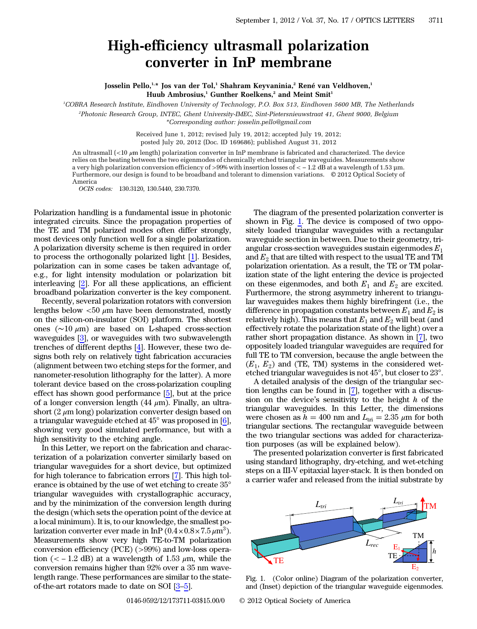## High-efficiency ultrasmall polarization converter in InP membrane

Josselin Pello,<sup>1,\*</sup> Jos van der Tol,<sup>1</sup> Shahram Keyvaninia,<sup>2</sup> René van Veldhoven,<sup>1</sup> Huub Ambrosius,<sup>1</sup> Gunther Roelkens,<sup>2</sup> and Meint Smit<sup>1</sup>

1 COBRA Research Institute, Eindhoven University of Technology, P.O. Box 513, Eindhoven 5600 MB, The Netherlands 2 Photonic Research Group, INTEC, Ghent University-IMEC, Sint-Pietersnieuwstraat 41, Ghent 9000, Belgium

\*Corresponding author: josselin.pello@gmail.com

Received June 1, 2012; revised July 19, 2012; accepted July 19, 2012;

posted July 20, 2012 (Doc. ID 169686); published August 31, 2012

An ultrasmall  $\langle 10 \mu m \rangle$  length) polarization converter in InP membrane is fabricated and characterized. The device relies on the beating between the two eigenmodes of chemically etched triangular waveguides. Measurements show a very high polarization conversion efficiency of >99% with insertion losses of < − 1.2 dB at a wavelength of 1.53 µm. Furthermore, our design is found to be broadband and tolerant to dimension variations. © 2012 Optical Society of America

OCIS codes: 130.3120, 130.5440, 230.7370.

Polarization handling is a fundamental issue in photonic integrated circuits. Since the propagation properties of the TE and TM polarized modes often differ strongly, most devices only function well for a single polarization. A polarization diversity scheme is then required in order to process the orthogonally polarized light [[1\]](#page-2-0). Besides, polarization can in some cases be taken advantage of, e.g., for light intensity modulation or polarization bit interleaving [[2\]](#page-2-1). For all these applications, an efficient broadband polarization converter is the key component.

Recently, several polarization rotators with conversion lengths below  $<$ 50  $\mu$ m have been demonstrated, mostly on the silicon-on-insulator (SOI) platform. The shortest ones (∼10 μm) are based on L-shaped cross-section waveguides [\[3](#page-2-2)], or waveguides with two subwavelength trenches of different depths [\[4](#page-2-3)]. However, these two designs both rely on relatively tight fabrication accuracies (alignment between two etching steps for the former, and nanometer-resolution lithography for the latter). A more tolerant device based on the cross-polarization coupling effect has shown good performance [\[5](#page-2-4)], but at the price of a longer conversion length  $(44 \mu m)$ . Finally, an ultrashort  $(2 \mu m \text{ long})$  polarization converter design based on a triangular waveguide etched at 45° was proposed in [\[6](#page-2-5)], showing very good simulated performance, but with a high sensitivity to the etching angle.

In this Letter, we report on the fabrication and characterization of a polarization converter similarly based on triangular waveguides for a short device, but optimized for high tolerance to fabrication errors [\[7](#page-2-6)]. This high tolerance is obtained by the use of wet etching to create 35° triangular waveguides with crystallographic accuracy, and by the minimization of the conversion length during the design (which sets the operation point of the device at a local minimum). It is, to our knowledge, the smallest polarization converter ever made in InP  $(0.4 \times 0.8 \times 7.5 \,\mu \text{m}^3)$ . Measurements show very high TE-to-TM polarization conversion efficiency (PCE) (>99%) and low-loss operation (< - 1.2 dB) at a wavelength of 1.53  $\mu$ m, while the conversion remains higher than 92% over a 35 nm wavelength range. These performances are similar to the stateof-the-art rotators made to date on SOI [\[3](#page-2-2)–[5](#page-2-4)].

The diagram of the presented polarization converter is shown in Fig. [1.](#page-0-0) The device is composed of two oppositely loaded triangular waveguides with a rectangular waveguide section in between. Due to their geometry, triangular cross-section waveguides sustain eigenmodes  $E_1$ and  $E_2$  that are tilted with respect to the usual TE and TM polarization orientation. As a result, the TE or TM polarization state of the light entering the device is projected on these eigenmodes, and both  $E_1$  and  $E_2$  are excited. Furthermore, the strong asymmetry inherent to triangular waveguides makes them highly birefringent (i.e., the difference in propagation constants between  $E_1$  and  $E_2$  is relatively high). This means that  $E_1$  and  $E_2$  will beat (and effectively rotate the polarization state of the light) over a rather short propagation distance. As shown in [\[7](#page-2-6)], two oppositely loaded triangular waveguides are required for full TE to TM conversion, because the angle between the  $(E_1, E_2)$  and (TE, TM) systems in the considered wetetched triangular waveguides is not 45°, but closer to 23°.

A detailed analysis of the design of the triangular section lengths can be found in [\[7](#page-2-6)], together with a discussion on the device's sensitivity to the height  $h$  of the triangular waveguides. In this Letter, the dimensions were chosen as  $h = 400$  nm and  $L_{\text{tri}} = 2.35 \ \mu \text{m}$  for both triangular sections. The rectangular waveguide between the two triangular sections was added for characterization purposes (as will be explained below).

The presented polarization converter is first fabricated using standard lithography, dry-etching, and wet-etching steps on a III-V epitaxial layer-stack. It is then bonded on a carrier wafer and released from the initial substrate by

<span id="page-0-0"></span>

Fig. 1. (Color online) Diagram of the polarization converter, and (Inset) depiction of the triangular waveguide eigenmodes.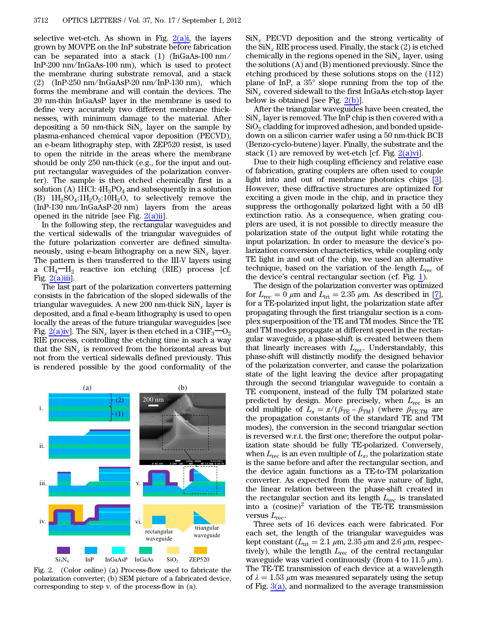selective wet-etch. As shown in Fig.  $2(a)i$ , the layers grown by MOVPE on the InP substrate before fabrication can be separated into a stack (1) (InGaAs-100 nm ∕ InP-200 nm/InGaAs-100 nm), which is used to protect the membrane during substrate removal, and a stack (2) (InP-250 nm ∕ InGaAsP-20 nm ∕ InP-130 nm), which forms the membrane and will contain the devices. The 20 nm-thin InGaAsP layer in the membrane is used to define very accurately two different membrane thicknesses, with minimum damage to the material. After depositing a 50 nm-thick  $\text{SiN}_x$  layer on the sample by plasma-enhanced chemical vapor deposition (PECVD), an e-beam lithography step, with ZEP520 resist, is used to open the nitride in the areas where the membrane should be only 250 nm-thick (e.g., for the input and output rectangular waveguides of the polarization converter). The sample is then etched chemically first in a solution (A) 1HCl:  $4H_3PO_4$  and subsequently in a solution (B)  $1H_2SO_4:1H_2O_2:10H_2O$ , to selectively remove the (InP-130 nm ∕ InGaAsP-20 nm) layers from the areas opened in the nitride [see Fig.  $2(a)$ ii].

In the following step, the rectangular waveguides and the vertical sidewalls of the triangular waveguides of the future polarization converter are defined simultaneously, using e-beam lithography on a new  $\text{SiN}_x$  layer. The pattern is then transferred to the III-V layers using a  $CH_4$ — $H_2$  reactive ion etching (RIE) process [cf. Fig.  $2(a)$ iii].

The last part of the polarization converters patterning consists in the fabrication of the sloped sidewalls of the triangular waveguides. A new 200 nm-thick  $\text{SiN}_x$  layer is deposited, and a final e-beam lithography is used to open locally the areas of the future triangular waveguides [see Fig.  $2(a)$ iv]. The SiN<sub>x</sub> layer is then etched in a CHF<sub>3</sub><sup>-O<sub>2</sub></sub></sup> RIE process, controlling the etching time in such a way that the  $\sinh x$  is removed from the horizontal areas but not from the vertical sidewalls defined previously. This is rendered possible by the good conformality of the

<span id="page-1-0"></span>

Fig. 2. (Color online) (a) Process-flow used to fabricate the polarization converter; (b) SEM picture of a fabricated device, corresponding to step v. of the process-flow in (a).

 $\text{SiN}_x$  PECVD deposition and the strong verticality of the  $\text{SiN}_x$  RIE process used. Finally, the stack (2) is etched chemically in the regions opened in the  $\sin x$  layer, using the solutions (A) and (B) mentioned previously. Since the etching produced by these solutions stops on the (112) plane of InP, a 35° slope running from the top of the  $\sinh(x)$  covered sidewall to the first InGaAs etch-stop layer below is obtained [see Fig.  $2(b)$ ].

After the triangular waveguides have been created, the  $\sin x$  layer is removed. The InP chip is then covered with a  $SiO<sub>2</sub>$  cladding for improved adhesion, and bonded upsidedown on a silicon carrier wafer using a 50 nm-thick BCB (Benzo-cyclo-butene) layer. Finally, the substrate and the stack (1) are removed by wet-etch [cf. Fig.  $2(a)$ vi].

Due to their high coupling efficiency and relative ease of fabrication, grating couplers are often used to couple light into and out of membrane photonics chips [\[3](#page-2-2)]. However, these diffractive structures are optimized for exciting a given mode in the chip, and in practice they suppress the orthogonally polarized light with a 50 dB extinction ratio. As a consequence, when grating couplers are used, it is not possible to directly measure the polarization state of the output light while rotating the input polarization. In order to measure the device's polarization conversion characteristics, while coupling only TE light in and out of the chip, we used an alternative technique, based on the variation of the length  $L_{rec}$  of the device's central rectangular section (cf. Fig.  $\underline{1}$  $\underline{1}$  $\underline{1}$ ).

The design of the polarization converter was optimized for  $L_{\text{rec}} = 0$   $\mu$ m and  $L_{\text{tri}} = 2.35$   $\mu$ m. As described in [\[7](#page-2-6)], for a TE-polarized input light, the polarization state after propagating through the first triangular section is a complex superposition of the TE and TM modes. Since the TE and TM modes propagate at different speed in the rectangular waveguide, a phase-shift is created between them that linearly increases with  $L_{rec}$ . Understandably, this phase-shift will distinctly modify the designed behavior of the polarization converter, and cause the polarization state of the light leaving the device after propagating through the second triangular waveguide to contain a TE component, instead of the fully TM polarized state predicted by design. More precisely, when  $L_{\text{rec}}$  is an odd multiple of  $L_{\pi} = \pi/(\beta_{\text{TE}} - \beta_{\text{TM}})$  (where  $\beta_{\text{TE,TM}}$  are the propagation constants of the standard TE and TM modes), the conversion in the second triangular section is reversed w.r.t. the first one; therefore the output polarization state should be fully TE-polarized. Conversely, when  $L_{\text{rec}}$  is an even multiple of  $L_{\pi}$ , the polarization state is the same before and after the rectangular section, and the device again functions as a TE-to-TM polarization converter. As expected from the wave nature of light, the linear relation between the phase-shift created in the rectangular section and its length  $L_{rec}$  is translated into a  $\text{(cosine)}^2$  variation of the TE-TE transmission versus  $L_{\text{rec}}$ .

Three sets of 16 devices each were fabricated. For each set, the length of the triangular waveguides was kept constant ( $L_{\text{tri}} = 2.1 \ \mu \text{m}$ , 2.35  $\mu \text{m}$  and 2.6  $\mu \text{m}$ , respectively), while the length  $L_{rec}$  of the central rectangular waveguide was varied continuously (from 4 to 11.5  $\mu$ m). The TE-TE transmission of each device at a wavelength of  $\lambda = 1.53 \ \mu \text{m}$  was measured separately using the setup of Fig.  $3(a)$ , and normalized to the average transmission